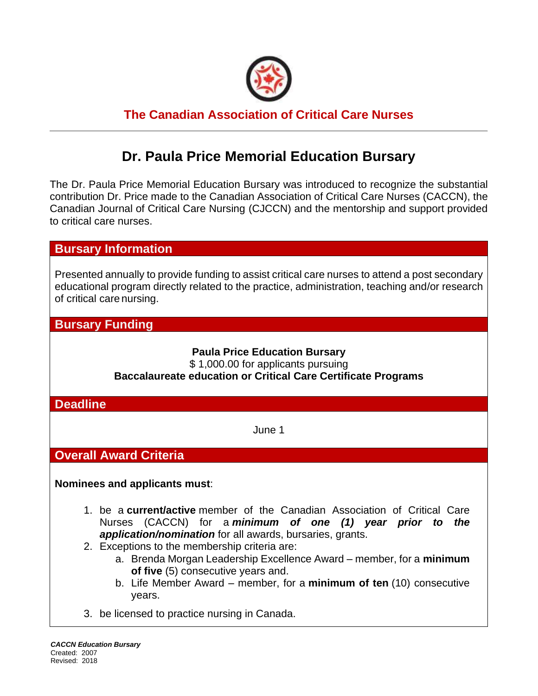

## **The Canadian Association of Critical Care Nurses**

# **Dr. Paula Price Memorial Education Bursary**

The Dr. Paula Price Memorial Education Bursary was introduced to recognize the substantial contribution Dr. Price made to the Canadian Association of Critical Care Nurses (CACCN), the Canadian Journal of Critical Care Nursing (CJCCN) and the mentorship and support provided to critical care nurses.

### **Bursary Information**

Presented annually to provide funding to assist critical care nurses to attend a post secondary educational program directly related to the practice, administration, teaching and/or research of critical care nursing.

### **Bursary Funding**

#### **Paula Price Education Bursary** \$ 1,000.00 for applicants pursuing **Baccalaureate education or Critical Care Certificate Programs**

#### **Deadline**

June 1

### **Overall Award Criteria**

#### **Nominees and applicants must**:

- 1. be a **current/active** member of the Canadian Association of Critical Care Nurses (CACCN) for a *minimum of one (1) year prior to the application/nomination* for all awards, bursaries, grants.
- 2. Exceptions to the membership criteria are:
	- a. Brenda Morgan Leadership Excellence Award member, for a **minimum of five** (5) consecutive years and.
	- b. Life Member Award member, for a **minimum of ten** (10) consecutive years.
- 3. be licensed to practice nursing in Canada.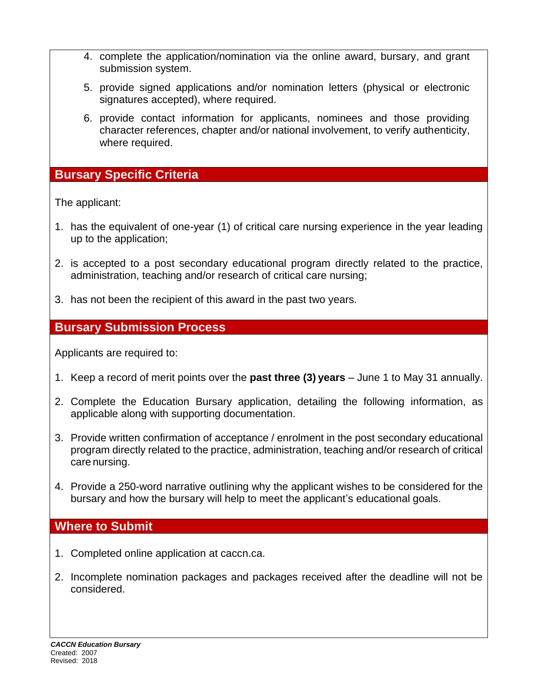- 4. complete the application/nomination via the online award, bursary, and grant submission system.
- 5. provide signed applications and/or nomination letters (physical or electronic signatures accepted), where required.
- 6. provide contact information for applicants, nominees and those providing character references, chapter and/or national involvement, to verify authenticity, where required.

### **Bursary Specific Criteria**

The applicant:

- 1. has the equivalent of one-year (1) of critical care nursing experience in the year leading up to the application;
- 2. is accepted to a post secondary educational program directly related to the practice, administration, teaching and/or research of critical care nursing;
- 3. has not been the recipient of this award in the past two years.

### **Bursary Submission Process**

Applicants are required to:

- 1. Keep a record of merit points over the **past three (3) years** June 1 to May 31 annually.
- 2. Complete the Education Bursary application, detailing the following information, as applicable along with supporting documentation.
- 3. Provide written confirmation of acceptance / enrolment in the post secondary educational program directly related to the practice, administration, teaching and/or research of critical care nursing.
- 4. Provide a 250-word narrative outlining why the applicant wishes to be considered for the bursary and how the bursary will help to meet the applicant's educational goals.

### **Where to Submit**

- 1. Completed online application at caccn.ca.
- 2. Incomplete nomination packages and packages received after the deadline will not be considered.